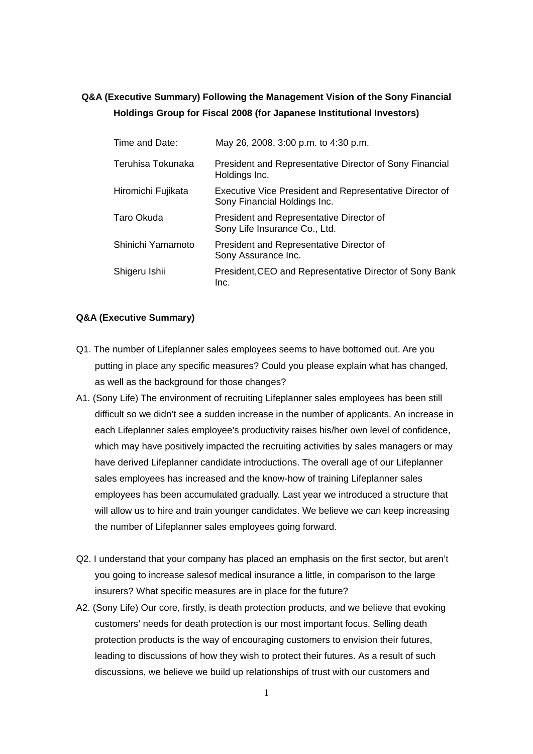## **Q&A (Executive Summary) Following the Management Vision of the Sony Financial Holdings Group for Fiscal 2008 (for Japanese Institutional Investors)**

| Time and Date:     | May 26, 2008, 3:00 p.m. to 4:30 p.m.                                                           |
|--------------------|------------------------------------------------------------------------------------------------|
| Teruhisa Tokunaka  | President and Representative Director of Sony Financial<br>Holdings Inc.                       |
| Hiromichi Fujikata | <b>Executive Vice President and Representative Director of</b><br>Sony Financial Holdings Inc. |
| Taro Okuda         | President and Representative Director of<br>Sony Life Insurance Co., Ltd.                      |
| Shinichi Yamamoto  | President and Representative Director of<br>Sony Assurance Inc.                                |
| Shigeru Ishii      | President, CEO and Representative Director of Sony Bank<br>Inc.                                |

## **Q&A (Executive Summary)**

- Q1. The number of Lifeplanner sales employees seems to have bottomed out. Are you putting in place any specific measures? Could you please explain what has changed, as well as the background for those changes?
- A1. (Sony Life) The environment of recruiting Lifeplanner sales employees has been still difficult so we didn't see a sudden increase in the number of applicants. An increase in each Lifeplanner sales employee's productivity raises his/her own level of confidence, which may have positively impacted the recruiting activities by sales managers or may have derived Lifeplanner candidate introductions. The overall age of our Lifeplanner sales employees has increased and the know-how of training Lifeplanner sales employees has been accumulated gradually. Last year we introduced a structure that will allow us to hire and train younger candidates. We believe we can keep increasing the number of Lifeplanner sales employees going forward.
- Q2. I understand that your company has placed an emphasis on the first sector, but aren't you going to increase salesof medical insurance a little, in comparison to the large insurers? What specific measures are in place for the future?
- A2. (Sony Life) Our core, firstly, is death protection products, and we believe that evoking customers' needs for death protection is our most important focus. Selling death protection products is the way of encouraging customers to envision their futures, leading to discussions of how they wish to protect their futures. As a result of such discussions, we believe we build up relationships of trust with our customers and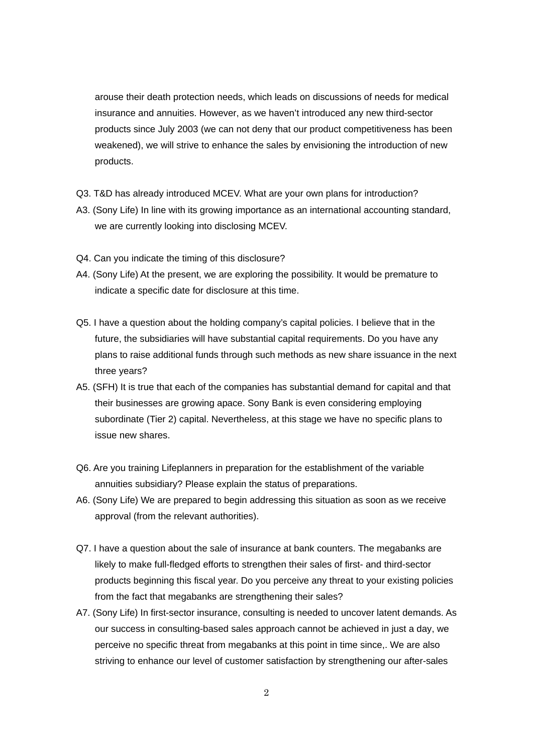arouse their death protection needs, which leads on discussions of needs for medical insurance and annuities. However, as we haven't introduced any new third-sector products since July 2003 (we can not deny that our product competitiveness has been weakened), we will strive to enhance the sales by envisioning the introduction of new products.

- Q3. T&D has already introduced MCEV. What are your own plans for introduction?
- A3. (Sony Life) In line with its growing importance as an international accounting standard, we are currently looking into disclosing MCEV.
- Q4. Can you indicate the timing of this disclosure?
- A4. (Sony Life) At the present, we are exploring the possibility. It would be premature to indicate a specific date for disclosure at this time.
- Q5. I have a question about the holding company's capital policies. I believe that in the future, the subsidiaries will have substantial capital requirements. Do you have any plans to raise additional funds through such methods as new share issuance in the next three years?
- A5. (SFH) It is true that each of the companies has substantial demand for capital and that their businesses are growing apace. Sony Bank is even considering employing subordinate (Tier 2) capital. Nevertheless, at this stage we have no specific plans to issue new shares.
- Q6. Are you training Lifeplanners in preparation for the establishment of the variable annuities subsidiary? Please explain the status of preparations.
- A6. (Sony Life) We are prepared to begin addressing this situation as soon as we receive approval (from the relevant authorities).
- Q7. I have a question about the sale of insurance at bank counters. The megabanks are likely to make full-fledged efforts to strengthen their sales of first- and third-sector products beginning this fiscal year. Do you perceive any threat to your existing policies from the fact that megabanks are strengthening their sales?
- A7. (Sony Life) In first-sector insurance, consulting is needed to uncover latent demands. As our success in consulting-based sales approach cannot be achieved in just a day, we perceive no specific threat from megabanks at this point in time since,. We are also striving to enhance our level of customer satisfaction by strengthening our after-sales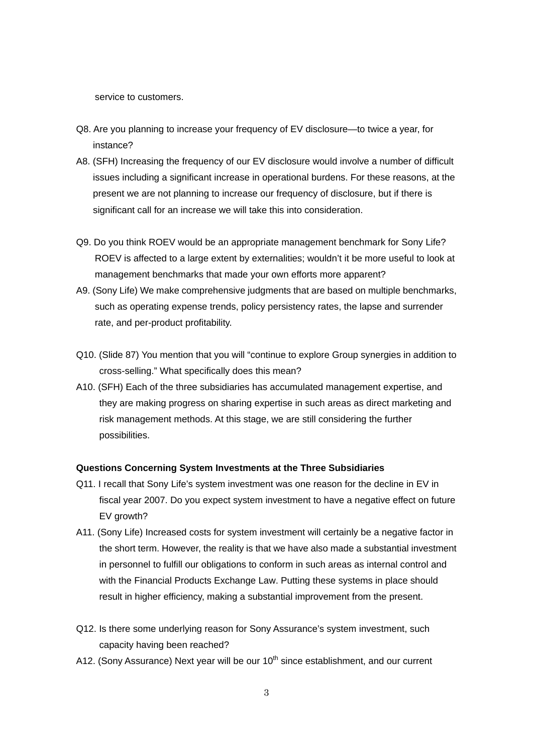service to customers.

- Q8. Are you planning to increase your frequency of EV disclosure—to twice a year, for instance?
- A8. (SFH) Increasing the frequency of our EV disclosure would involve a number of difficult issues including a significant increase in operational burdens. For these reasons, at the present we are not planning to increase our frequency of disclosure, but if there is significant call for an increase we will take this into consideration.
- Q9. Do you think ROEV would be an appropriate management benchmark for Sony Life? ROEV is affected to a large extent by externalities; wouldn't it be more useful to look at management benchmarks that made your own efforts more apparent?
- A9. (Sony Life) We make comprehensive judgments that are based on multiple benchmarks, such as operating expense trends, policy persistency rates, the lapse and surrender rate, and per-product profitability.
- Q10. (Slide 87) You mention that you will "continue to explore Group synergies in addition to cross-selling." What specifically does this mean?
- A10. (SFH) Each of the three subsidiaries has accumulated management expertise, and they are making progress on sharing expertise in such areas as direct marketing and risk management methods. At this stage, we are still considering the further possibilities.

## **Questions Concerning System Investments at the Three Subsidiaries**

- Q11. I recall that Sony Life's system investment was one reason for the decline in EV in fiscal year 2007. Do you expect system investment to have a negative effect on future EV growth?
- A11. (Sony Life) Increased costs for system investment will certainly be a negative factor in the short term. However, the reality is that we have also made a substantial investment in personnel to fulfill our obligations to conform in such areas as internal control and with the Financial Products Exchange Law. Putting these systems in place should result in higher efficiency, making a substantial improvement from the present.
- Q12. Is there some underlying reason for Sony Assurance's system investment, such capacity having been reached?
- A12. (Sony Assurance) Next year will be our 10<sup>th</sup> since establishment, and our current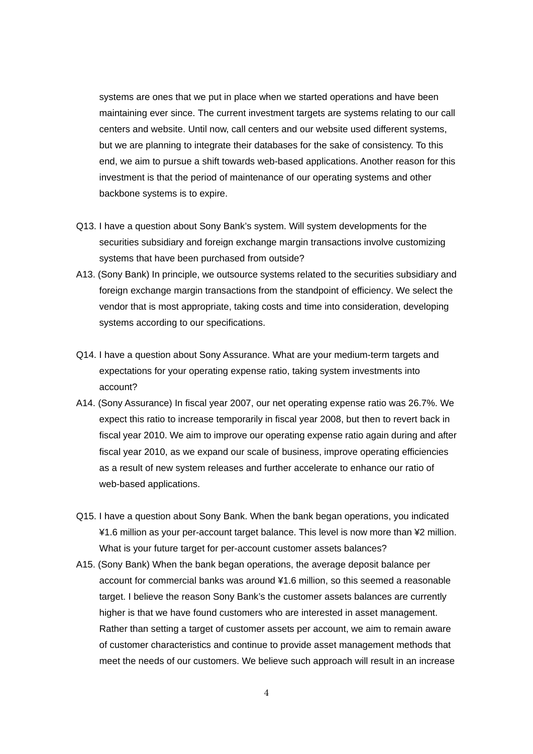systems are ones that we put in place when we started operations and have been maintaining ever since. The current investment targets are systems relating to our call centers and website. Until now, call centers and our website used different systems, but we are planning to integrate their databases for the sake of consistency. To this end, we aim to pursue a shift towards web-based applications. Another reason for this investment is that the period of maintenance of our operating systems and other backbone systems is to expire.

- Q13. I have a question about Sony Bank's system. Will system developments for the securities subsidiary and foreign exchange margin transactions involve customizing systems that have been purchased from outside?
- A13. (Sony Bank) In principle, we outsource systems related to the securities subsidiary and foreign exchange margin transactions from the standpoint of efficiency. We select the vendor that is most appropriate, taking costs and time into consideration, developing systems according to our specifications.
- Q14. I have a question about Sony Assurance. What are your medium-term targets and expectations for your operating expense ratio, taking system investments into account?
- A14. (Sony Assurance) In fiscal year 2007, our net operating expense ratio was 26.7%. We expect this ratio to increase temporarily in fiscal year 2008, but then to revert back in fiscal year 2010. We aim to improve our operating expense ratio again during and after fiscal year 2010, as we expand our scale of business, improve operating efficiencies as a result of new system releases and further accelerate to enhance our ratio of web-based applications.
- Q15. I have a question about Sony Bank. When the bank began operations, you indicated ¥1.6 million as your per-account target balance. This level is now more than ¥2 million. What is your future target for per-account customer assets balances?
- A15. (Sony Bank) When the bank began operations, the average deposit balance per account for commercial banks was around ¥1.6 million, so this seemed a reasonable target. I believe the reason Sony Bank's the customer assets balances are currently higher is that we have found customers who are interested in asset management. Rather than setting a target of customer assets per account, we aim to remain aware of customer characteristics and continue to provide asset management methods that meet the needs of our customers. We believe such approach will result in an increase